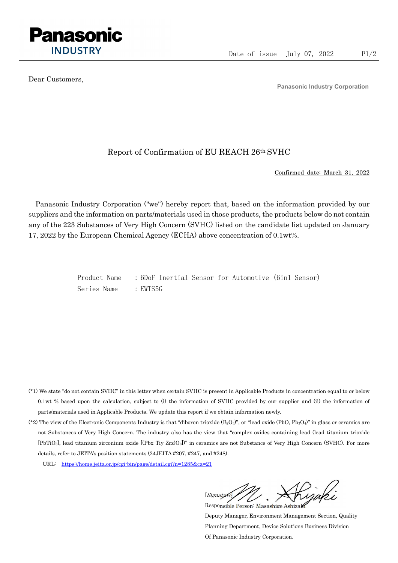

Dear Customers,

Panasonic Industry Corporation

## Report of Confirmation of EU REACH 26th SVHC

Confirmed date: March 31, 2022

Panasonic Industry Corporation ("we") hereby report that, based on the information provided by our suppliers and the information on parts/materials used in those products, the products below do not contain any of the 223 Substances of Very High Concern (SVHC) listed on the candidate list updated on January 17, 2022 by the European Chemical Agency (ECHA) above concentration of 0.1wt%.

> Product Name : 6DoF Inertial Sensor for Automotive (6in1 Sensor) Series Name : EWTS5G

- (\*1) We state "do not contain SVHC" in this letter when certain SVHC is present in Applicable Products in concentration equal to or below 0.1wt % based upon the calculation, subject to (i) the information of SVHC provided by our supplier and (ii) the information of parts/materials used in Applicable Products. We update this report if we obtain information newly.
- (\*2) The view of the Electronic Components Industry is that "diboron trioxide  $(B_2O_3)$ ", or "lead oxide (PbO, Pb<sub>3</sub>O<sub>4</sub>)" in glass or ceramics are not Substances of Very High Concern. The industry also has the view that "complex oxides containing lead (lead titanium trioxide [PbTiO3], lead titanium zirconium oxide [(Pbx Tiy Zrz)O3])" in ceramics are not Substance of Very High Concern (SVHC). For more details, refer to JEITA's position statements (24JEITA #207, #247, and #248).
	- URL: https://home.jeita.or.jp/cgi-bin/page/detail.cgi?n=1285&ca=21

[Signature] Responsible Person: Masashige Ashizaki

Deputy Manager, Environment Management Section, Quality Planning Department, Device Solutions Business Division Of Panasonic Industry Corporation.